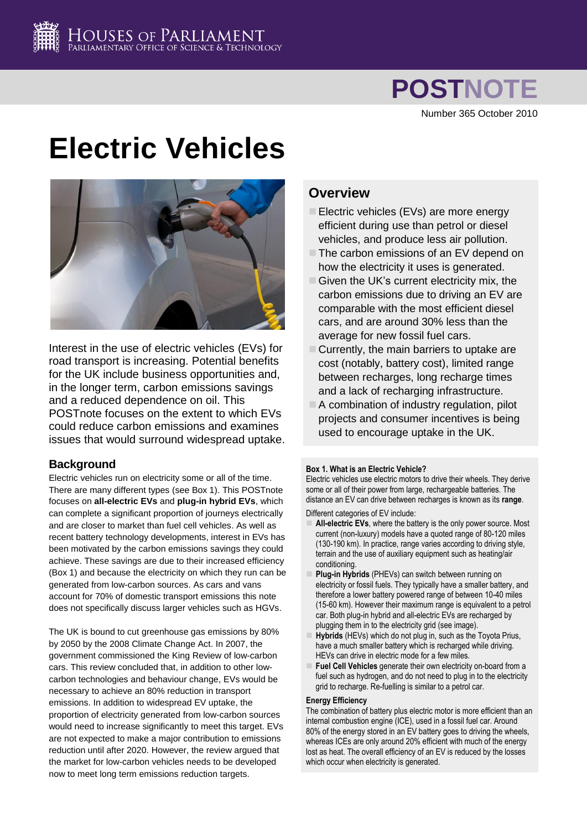# **POSTNOTE**

Number 365 October 2010

# **Electric Vehicles**



Interest in the use of electric vehicles (EVs) for road transport is increasing. Potential benefits for the UK include business opportunities and, in the longer term, carbon emissions savings and a reduced dependence on oil. This POSTnote focuses on the extent to which EVs could reduce carbon emissions and examines issues that would surround widespread uptake.

# **Background**

Electric vehicles run on electricity some or all of the time. There are many different types (see Box 1). This POSTnote focuses on **all-electric EVs** and **plug-in hybrid EVs**, which can complete a significant proportion of journeys electrically and are closer to market than fuel cell vehicles. As well as recent battery technology developments, interest in EVs has been motivated by the carbon emissions savings they could achieve. These savings are due to their increased efficiency (Box 1) and because the electricity on which they run can be generated from low-carbon sources. As cars and vans account for 70% of domestic transport emissions this note does not specifically discuss larger vehicles such as HGVs.

The UK is bound to cut greenhouse gas emissions by 80% by 2050 by the 2008 Climate Change Act. In 2007, the government commissioned the King Review of low-carbon cars. This review concluded that, in addition to other lowcarbon technologies and behaviour change, EVs would be necessary to achieve an 80% reduction in transport emissions. In addition to widespread EV uptake, the proportion of electricity generated from low-carbon sources would need to increase significantly to meet this target. EVs are not expected to make a major contribution to emissions reduction until after 2020. However, the review argued that the market for low-carbon vehicles needs to be developed now to meet long term emissions reduction targets.

# **Overview**

- Electric vehicles (EVs) are more energy efficient during use than petrol or diesel vehicles, and produce less air pollution.
- $\Box$  The carbon emissions of an EV depend on how the electricity it uses is generated.
- $\Box$  Given the UK's current electricity mix, the carbon emissions due to driving an EV are comparable with the most efficient diesel cars, and are around 30% less than the average for new fossil fuel cars.
- $\Box$  Currently, the main barriers to uptake are cost (notably, battery cost), limited range between recharges, long recharge times and a lack of recharging infrastructure.
- A combination of industry regulation, pilot projects and consumer incentives is being used to encourage uptake in the UK.

# **Box 1. What is an Electric Vehicle?**

Electric vehicles use electric motors to drive their wheels. They derive some or all of their power from large, rechargeable batteries. The distance an EV can drive between recharges is known as its **range**.

Different categories of EV include:

- **All-electric EVs**, where the battery is the only power source. Most current (non-luxury) models have a quoted range of 80-120 miles (130-190 km). In practice, range varies according to driving style, terrain and the use of auxiliary equipment such as heating/air conditioning.
- **Plug-in Hybrids** (PHEVs) can switch between running on electricity or fossil fuels. They typically have a smaller battery, and therefore a lower battery powered range of between 10-40 miles (15-60 km). However their maximum range is equivalent to a petrol car. Both plug-in hybrid and all-electric EVs are recharged by plugging them in to the electricity grid (see image).
- **Hybrids** (HEVs) which do not plug in, such as the Toyota Prius, have a much smaller battery which is recharged while driving. HEVs can drive in electric mode for a few miles.
- **Fuel Cell Vehicles** generate their own electricity on-board from a fuel such as hydrogen, and do not need to plug in to the electricity grid to recharge. Re-fuelling is similar to a petrol car.

# **Energy Efficiency**

The combination of battery plus electric motor is more efficient than an internal combustion engine (ICE), used in a fossil fuel car. Around 80% of the energy stored in an EV battery goes to driving the wheels, whereas ICEs are only around 20% efficient with much of the energy lost as heat. The overall efficiency of an EV is reduced by the losses which occur when electricity is generated.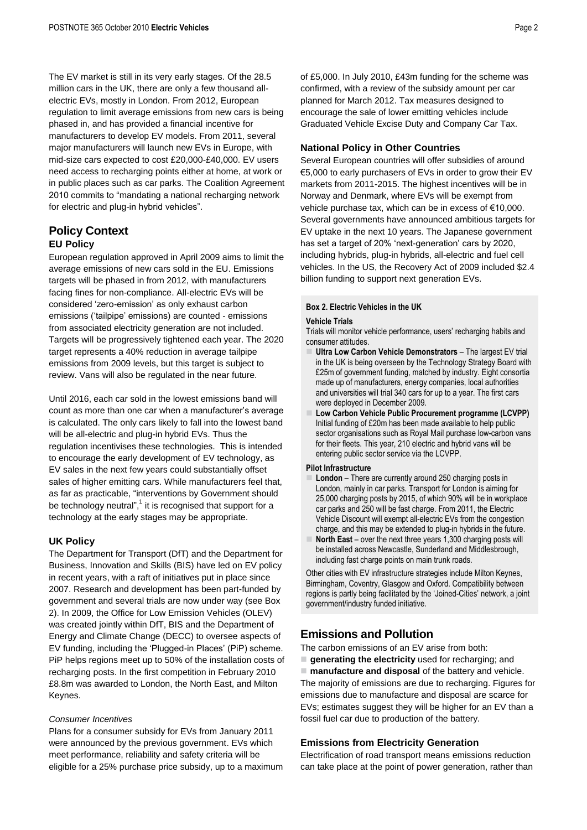The EV market is still in its very early stages. Of the 28.5 million cars in the UK, there are only a few thousand allelectric EVs, mostly in London. From 2012, European regulation to limit average emissions from new cars is being phased in, and has provided a financial incentive for manufacturers to develop EV models. From 2011, several major manufacturers will launch new EVs in Europe, with mid-size cars expected to cost £20,000-£40,000. EV users need access to recharging points either at home, at work or in public places such as car parks. The Coalition Agreement 2010 commits to "mandating a national recharging network for electric and plug-in hybrid vehicles".

# **Policy Context EU Policy**

European regulation approved in April 2009 aims to limit the average emissions of new cars sold in the EU. Emissions targets will be phased in from 2012, with manufacturers facing fines for non-compliance. All-electric EVs will be considered "zero-emission" as only exhaust carbon emissions ("tailpipe" emissions) are counted - emissions from associated electricity generation are not included. Targets will be progressively tightened each year. The 2020 target represents a 40% reduction in average tailpipe emissions from 2009 levels, but this target is subject to review. Vans will also be regulated in the near future.

Until 2016, each car sold in the lowest emissions band will count as more than one car when a manufacturer"s average is calculated. The only cars likely to fall into the lowest band will be all-electric and plug-in hybrid EVs. Thus the regulation incentivises these technologies. This is intended to encourage the early development of EV technology, as EV sales in the next few years could substantially offset sales of higher emitting cars. While manufacturers feel that, as far as practicable, "interventions by Government should be technology neutral",<sup>1</sup> it is recognised that support for a technology at the early stages may be appropriate.

# <span id="page-1-0"></span>**UK Policy**

The Department for Transport (DfT) and the Department for Business, Innovation and Skills (BIS) have led on EV policy in recent years, with a raft of initiatives put in place since 2007. Research and development has been part-funded by government and several trials are now under way (see Box 2). In 2009, the Office for Low Emission Vehicles (OLEV) was created jointly within DfT, BIS and the Department of Energy and Climate Change (DECC) to oversee aspects of EV funding, including the "Plugged-in Places" (PiP) scheme. PiP helps regions meet up to 50% of the installation costs of recharging posts. In the first competition in February 2010 £8.8m was awarded to London, the North East, and Milton Keynes.

# *Consumer Incentives*

Plans for a consumer subsidy for EVs from January 2011 were announced by the previous government. EVs which meet performance, reliability and safety criteria will be eligible for a 25% purchase price subsidy, up to a maximum

of £5,000. In July 2010, £43m funding for the scheme was confirmed, with a review of the subsidy amount per car planned for March 2012. Tax measures designed to encourage the sale of lower emitting vehicles include Graduated Vehicle Excise Duty and Company Car Tax.

# **National Policy in Other Countries**

Several European countries will offer subsidies of around €5,000 to early purchasers of EVs in order to grow their EV markets from 2011-2015. The highest incentives will be in Norway and Denmark, where EVs will be exempt from vehicle purchase tax, which can be in excess of €10,000. Several governments have announced ambitious targets for EV uptake in the next 10 years. The Japanese government has set a target of 20% 'next-generation' cars by 2020, including hybrids, plug-in hybrids, all-electric and fuel cell vehicles. In the US, the Recovery Act of 2009 included \$2.4 billion funding to support next generation EVs.

## **Box 2. Electric Vehicles in the UK**

### **Vehicle Trials**

Trials will monitor vehicle performance, users' recharging habits and consumer attitudes.

- **Ultra Low Carbon Vehicle Demonstrators** The largest EV trial in the UK is being overseen by the Technology Strategy Board with £25m of government funding, matched by industry. Eight consortia made up of manufacturers, energy companies, local authorities and universities will trial 340 cars for up to a year. The first cars were deployed in December 2009.
- **Low Carbon Vehicle Public Procurement programme (LCVPP)** Initial funding of £20m has been made available to help public sector organisations such as Royal Mail purchase low-carbon vans for their fleets. This year, 210 electric and hybrid vans will be entering public sector service via the LCVPP.

### **Pilot Infrastructure**

- **London** There are currently around 250 charging posts in London, mainly in car parks. Transport for London is aiming for 25,000 charging posts by 2015, of which 90% will be in workplace car parks and 250 will be fast charge. From 2011, the Electric Vehicle Discount will exempt all-electric EVs from the congestion charge, and this may be extended to plug-in hybrids in the future.
- **North East** over the next three years 1,300 charging posts will be installed across Newcastle, Sunderland and Middlesbrough, including fast charge points on main trunk roads.

Other cities with EV infrastructure strategies include Milton Keynes, Birmingham, Coventry, Glasgow and Oxford. Compatibility between regions is partly being facilitated by the 'Joined-Cities' network, a joint government/industry funded initiative.

# **Emissions and Pollution**

The carbon emissions of an EV arise from both:

**generating the electricity** used for recharging; and

 **manufacture and disposal** of the battery and vehicle. The majority of emissions are due to recharging. Figures for emissions due to manufacture and disposal are scarce for EVs; estimates suggest they will be higher for an EV than a fossil fuel car due to production of the battery.

# **Emissions from Electricity Generation**

Electrification of road transport means emissions reduction can take place at the point of power generation, rather than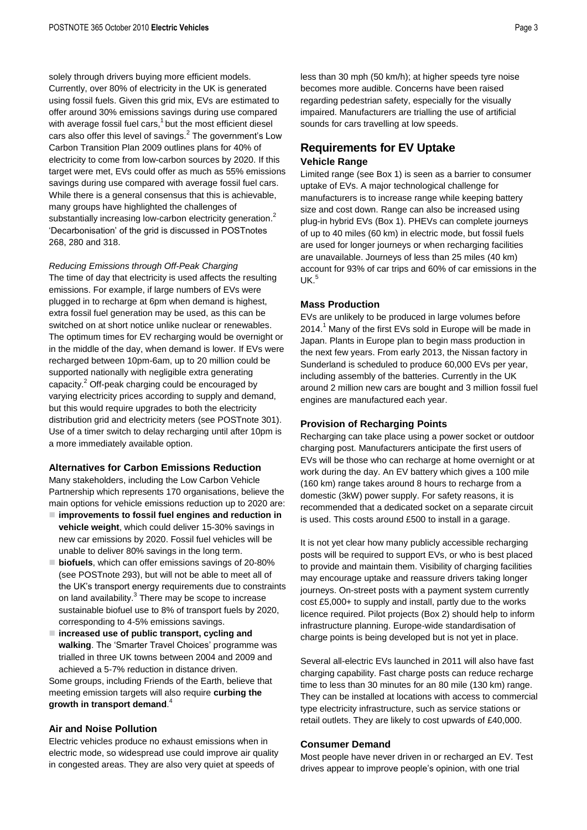solely through drivers buying more efficient models. Currently, over 80% of electricity in the UK is generated using fossil fuels. Given this grid mix, EVs are estimated to offer around 30% emissions savings during use compared with average fossil fuel car[s,](#page-1-0) $1$  but the most efficient diesel cars also offer this level of savings. $^2$  $^2$  The government's Low Carbon Transition Plan 2009 outlines plans for 40% of electricity to come from low-carbon sources by 2020. If this target were met, EVs could offer as much as 55% emissions savings during use compared with average fossil fuel cars. While there is a general consensus that this is achievable, many groups have highlighted the challenges of substantially increasing low-carbon electricity generatio[n.](#page-2-0)<sup>2</sup> "Decarbonisation" of the grid is discussed in POSTnotes 268, 280 and 318.

### *Reducing Emissions through Off-Peak Charging*

The time of day that electricity is used affects the resulting emissions. For example, if large numbers of EVs were plugged in to recharge at 6pm when demand is highest, extra fossil fuel generation may be used, as this can be switched on at short notice unlike nuclear or renewables. The optimum times for EV recharging would be overnight or in the middle of the day, when demand is lower. If EVs were recharged between 10pm-6am, up to 20 million could be supported nationally with negligible extra generating capacity.<sup>2</sup> Off-peak charging could be encouraged by varying electricity prices according to supply and demand, but this would require upgrades to both the electricity distribution grid and electricity meters (see POSTnote 301). Use of a timer switch to delay recharging until after 10pm is a more immediately available option.

### <span id="page-2-0"></span>**Alternatives for Carbon Emissions Reduction**

Many stakeholders, including the Low Carbon Vehicle Partnership which represents 170 organisations, believe the main options for vehicle emissions reduction up to 2020 are:

- **improvements to fossil fuel engines and reduction in vehicle weight**, which could deliver 15-30% savings in new car emissions by 2020. Fossil fuel vehicles will be unable to deliver 80% savings in the long term.
- <span id="page-2-1"></span>**biofuels**, which can offer emissions savings of 20-80% (see POSTnote 293), but will not be able to meet all of the UK"s transport energy requirements due to constraints on land availability.<sup>3</sup> There may be scope to increase sustainable biofuel use to 8% of transport fuels by 2020, corresponding to 4-5% emissions savings.
- **increased use of public transport, cycling and**  walking. The 'Smarter Travel Choices' programme was trialled in three UK towns between 2004 and 2009 and achieved a 5-7% reduction in distance driven.

Some groups, including Friends of the Earth, believe that meeting emission targets will also require **curbing the growth in transport demand**. 4

# **Air and Noise Pollution**

Electric vehicles produce no exhaust emissions when in electric mode, so widespread use could improve air quality in congested areas. They are also very quiet at speeds of

less than 30 mph (50 km/h); at higher speeds tyre noise becomes more audible. Concerns have been raised regarding pedestrian safety, especially for the visually impaired. Manufacturers are trialling the use of artificial sounds for cars travelling at low speeds.

# **Requirements for EV Uptake Vehicle Range**

Limited range (see Box 1) is seen as a barrier to consumer uptake of EVs. A major technological challenge for manufacturers is to increase range while keeping battery size and cost down. Range can also be increased using plug-in hybrid EVs (Box 1). PHEVs can complete journeys of up to 40 miles (60 km) in electric mode, but fossil fuels are used for longer journeys or when recharging facilities are unavailable. Journeys of less than 25 miles (40 km) account for 93% of car trips and 60% of car emissions in the  $IJK<sup>5</sup>$ 

## **Mass Production**

EVs are unlikely to be produced in large volumes before  $2014.<sup>1</sup>$  $2014.<sup>1</sup>$  $2014.<sup>1</sup>$  Many of the first EVs sold in Europe will be made in Japan. Plants in Europe plan to begin mass production in the next few years. From early 2013, the Nissan factory in Sunderland is scheduled to produce 60,000 EVs per year, including assembly of the batteries. Currently in the UK around 2 million new cars are bought and 3 million fossil fuel engines are manufactured each year.

# **Provision of Recharging Points**

Recharging can take place using a power socket or outdoor charging post. Manufacturers anticipate the first users of EVs will be those who can recharge at home overnight or at work during the day. An EV battery which gives a 100 mile (160 km) range takes around 8 hours to recharge from a domestic (3kW) power supply. For safety reasons, it is recommended that a dedicated socket on a separate circuit is used. This costs around £500 to install in a garage.

It is not yet clear how many publicly accessible recharging posts will be required to support EVs, or who is best placed to provide and maintain them. Visibility of charging facilities may encourage uptake and reassure drivers taking longer journeys. On-street posts with a payment system currently cost £5,000+ to supply and install, partly due to the works licence required. Pilot projects (Box 2) should help to inform infrastructure planning. Europe-wide standardisation of charge points is being developed but is not yet in place.

Several all-electric EVs launched in 2011 will also have fast charging capability. Fast charge posts can reduce recharge time to less than 30 minutes for an 80 mile (130 km) range. They can be installed at locations with access to commercial type electricity infrastructure, such as service stations or retail outlets. They are likely to cost upwards of £40,000.

### **Consumer Demand**

Most people have never driven in or recharged an EV. Test drives appear to improve people"s opinion, with one trial